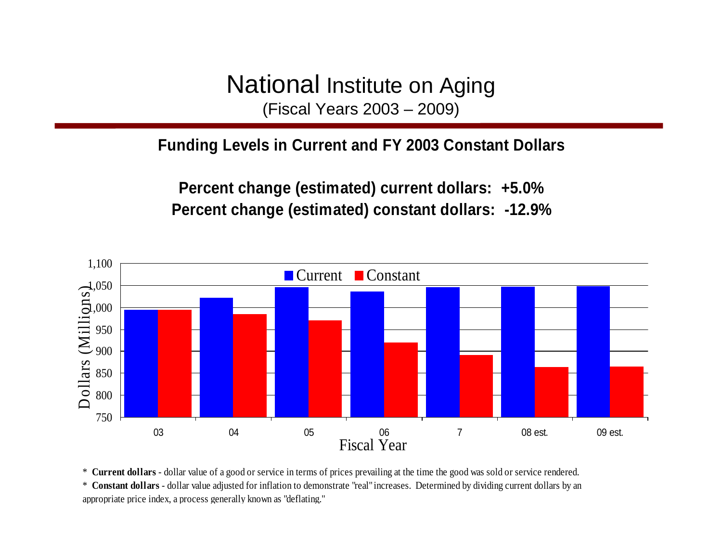National Institute on Aging (Fiscal Years 2003 – 2009)

#### **Funding Levels in Current and FY 2003 Constant Dollars**

**Percent change (estimated) current dollars: +5.0% Percent change (estimated) constant dollars: -12.9%**



\* **Current dollars** - dollar value of a good or service in terms of prices prevailing at the time the good was sold or service rendered. \* **Constant dollars** - dollar value adjusted for inflation to demonstrate "real" increases. Determined by dividing current dollars by an appropriate price index, a process generally known as "deflating."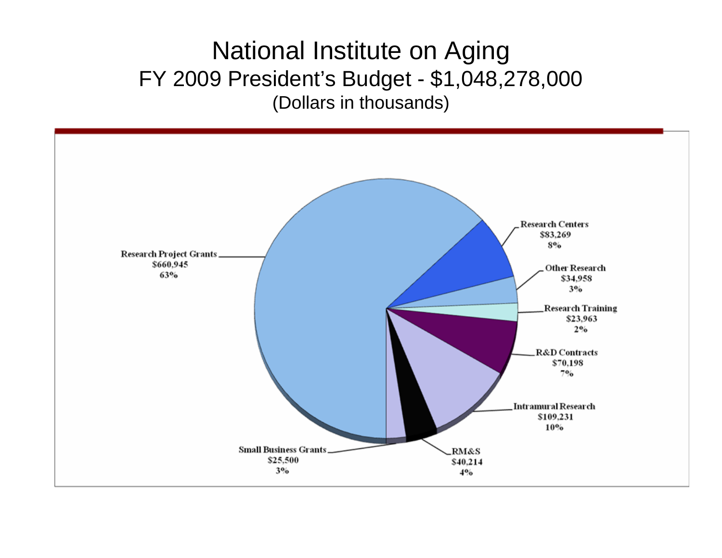## National Institute on Aging FY 2009 President's Budget - \$1,048,278,000 (Dollars in thousands)

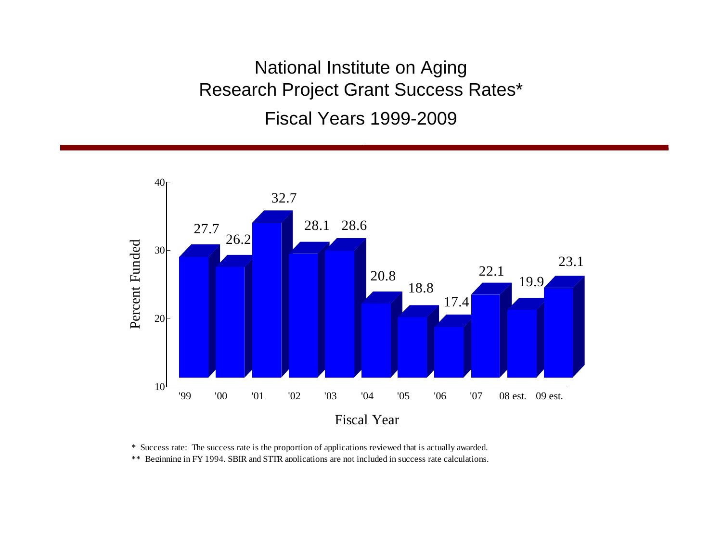National Institute on Aging Research Project Grant Success Rates\* Fiscal Years 1999-2009



\* Success rate: The success rate is the proportion of applications reviewed that is actually awarded.

\*\* Beginning in FY 1994, SBIR and STTR applications are not included in success rate calculations.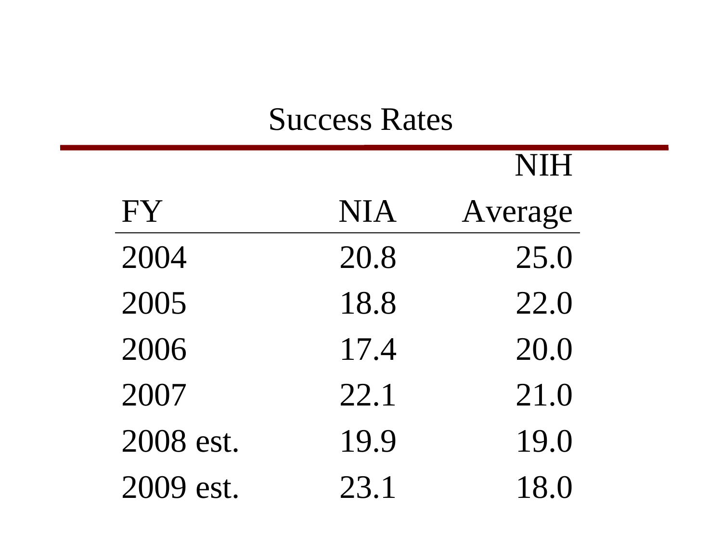# Success Rates

NIH

|           |            | NIH     |
|-----------|------------|---------|
| FY        | <b>NIA</b> | Average |
| 2004      | 20.8       | 25.0    |
| 2005      | 18.8       | 22.0    |
| 2006      | 17.4       | 20.0    |
| 2007      | 22.1       | 21.0    |
| 2008 est. | 19.9       | 19.0    |
| 2009 est. | 23.1       | 18.0    |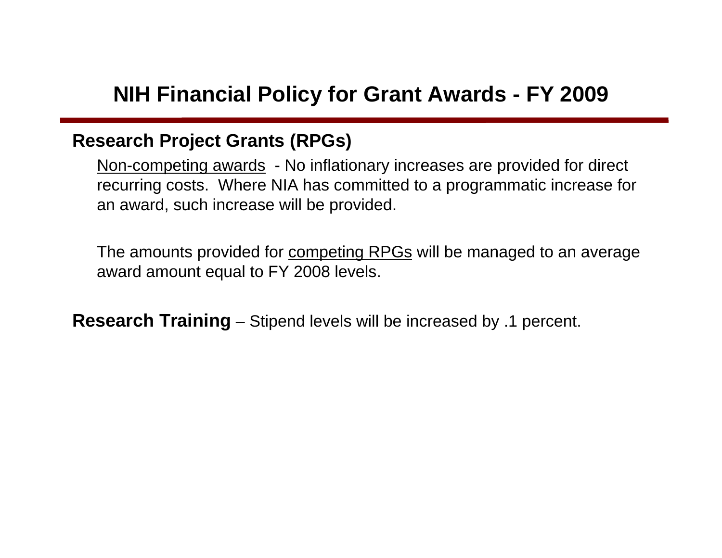## **NIH Financial Policy for Grant Awards - FY 2009**

#### **Research Project Grants (RPGs)**

Non-competing awards - No inflationary increases are provided for direct recurring costs. Where NIA has committed to a programmatic increase for an award, such increase will be provided.

The amounts provided for competing RPGs will be managed to an average award amount equal to FY 2008 levels.

**Research Training** – Stipend levels will be increased by .1 percent.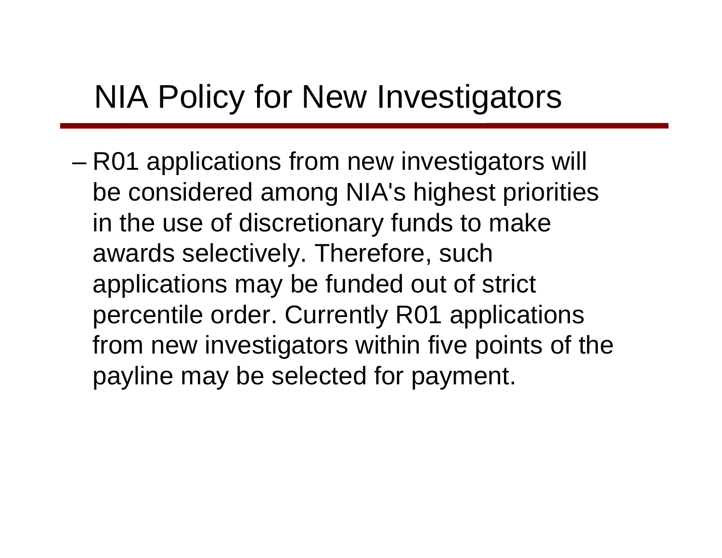# NIA Policy for New Investigators

– R01 applications from new investigators will be considered among NIA's highest priorities in the use of discretionary funds to make awards selectively. Therefore, such applications may be funded out of strict percentile order. Currently R01 applications from new investigators within five points of the payline may be selected for payment.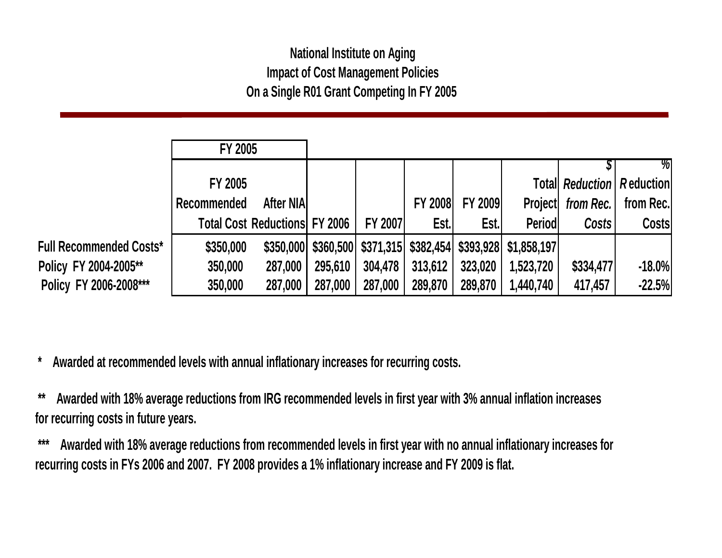#### **National Institute on Aging Impact of Cost Management Policies On a Single R01 Grant Competing In FY 2005**

|                                | <b>FY 2005</b> |                                      |         |                |                |                |                                                               |                                     |              |
|--------------------------------|----------------|--------------------------------------|---------|----------------|----------------|----------------|---------------------------------------------------------------|-------------------------------------|--------------|
|                                |                |                                      |         |                |                |                |                                                               |                                     | %            |
|                                | FY 2005        |                                      |         |                |                |                |                                                               | <b>Totall Reduction   Reduction</b> |              |
|                                | Recommended    | <b>After NIA</b>                     |         |                | <b>FY 2008</b> | <b>FY 2009</b> |                                                               | Project from Rec.                   | from Rec.    |
|                                |                | <b>Total Cost Reductions FY 2006</b> |         | <b>FY 2007</b> | Est.           | Est.           | <b>Period</b>                                                 | Costs                               | <b>Costs</b> |
| <b>Full Recommended Costs*</b> | \$350,000      |                                      |         |                |                |                | \$350,000 \$360,500 \$371,315 \$382,454 \$393,928 \$1,858,197 |                                     |              |
| Policy FY 2004-2005**          | 350,000        | 287,000                              | 295,610 | 304,478        | 313,612        | 323,020        | 1,523,720                                                     | \$334,477                           | $-18.0%$     |
| Policy FY 2006-2008***         | 350,000        | 287,000                              | 287,000 | 287,000        | 289,870        | 289,870        | 1,440,740                                                     | 417,457                             | $-22.5%$     |

 **\* Awarded at recommended levels with annual inflationary increases for recurring costs.** 

 **\*\* Awarded with 18% average reductions from IRG recommended levels in first year with 3% annual inflation increases for recurring costs in future years.** 

 **\*\*\* Awarded with 18% average reductions from recommended levels in first year with no annual inflationary increases for recurring costs in FYs 2006 and 2007. FY 2008 provides a 1% inflationary increase and FY 2009 is flat.**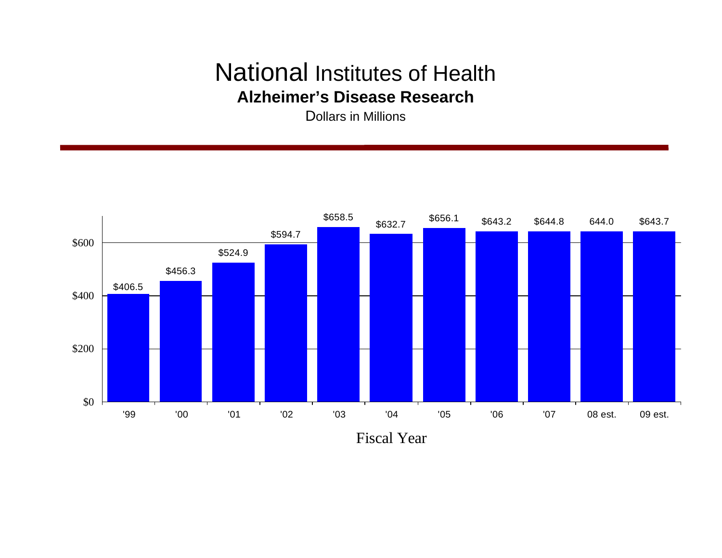### National Institutes of Health **Alzheimer's Disease Research**

Dollars in Millions



Fiscal Year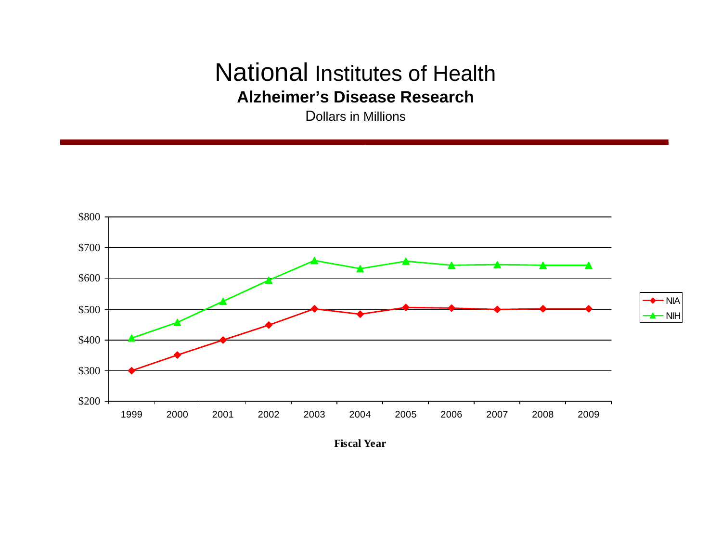### National Institutes of Health **Alzheimer's Disease Research**

Dollars in Millions



**Fiscal Year**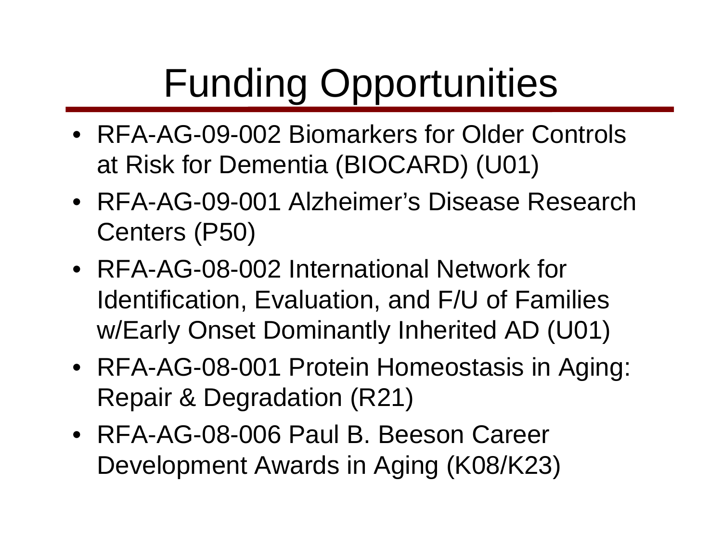# Funding Opportunities

- RFA-AG-09-002 Biomarkers for Older Controls at Risk for Dementia (BIOCARD) (U01)
- RFA-AG-09-001 Alzheimer's Disease Research Centers (P50)
- RFA-AG-08-002 International Network for Identification, Evaluation, and F/U of Families w/Early Onset Dominantly Inherited AD (U01)
- RFA-AG-08-001 Protein Homeostasis in Aging: Repair & Degradation (R21)
- RFA-AG-08-006 Paul B. Beeson Career Development Awards in Aging (K08/K23)